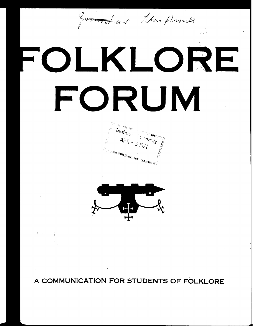groundeau Man Prince

## OLKLORE **FORUM**





**A COMMUNICATION FOR STUDENTS OF FOLKLORE**